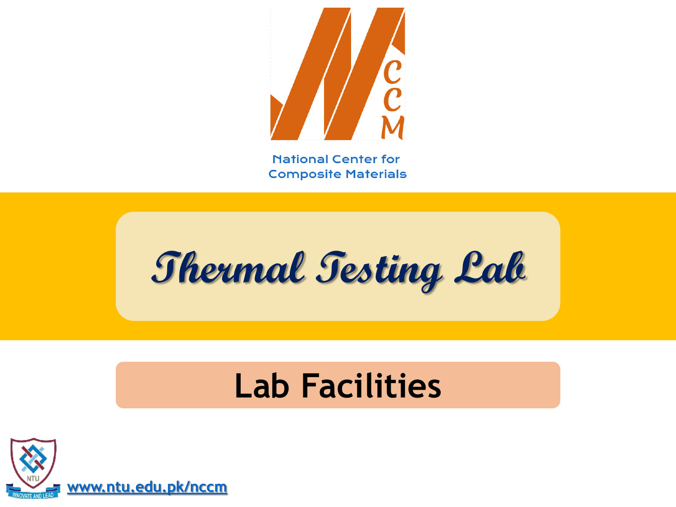

**Thermal Testing Lab**

### **Lab Facilities**

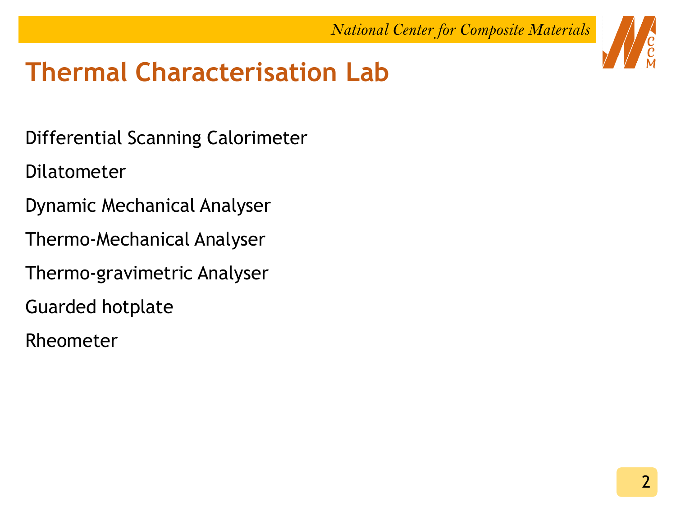### **Thermal Characterisation Lab**

Differential Scanning Calorimeter

Dilatometer

- Dynamic Mechanical Analyser
- Thermo-Mechanical Analyser
- Thermo-gravimetric Analyser
- Guarded hotplate
- Rheometer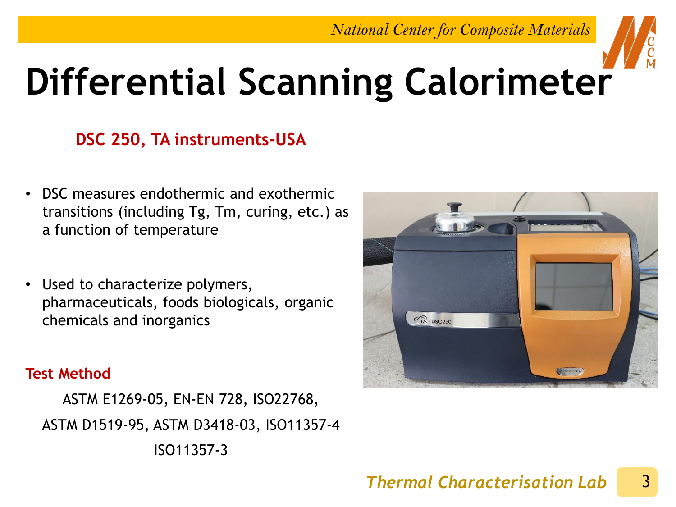

# **Differential Scanning Calorimeter**

#### **DSC 250, TA instruments-USA**

- DSC measures endothermic and exothermic transitions (including Tg, Tm, curing, etc.) as a function of temperature
- Used to characterize polymers, pharmaceuticals, foods biologicals, organic chemicals and inorganics

#### **Test Method**

ASTM E1269-05, EN-EN 728, ISO22768, ASTM D1519-95, ASTM D3418-03, ISO11357-4 ISO11357-3



#### 3 *Thermal Characterisation Lab*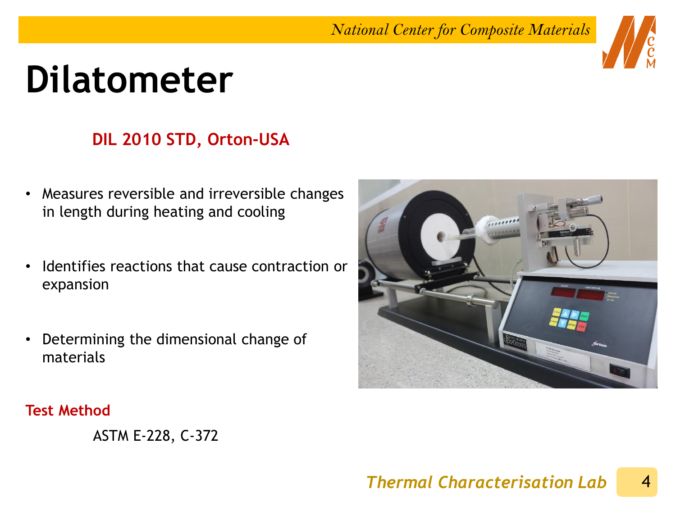### **Dilatometer**

### **DIL 2010 STD, Orton-USA**

- Measures reversible and irreversible changes in length during heating and cooling
- Identifies reactions that cause contraction or expansion
- Determining the dimensional change of materials



#### **Test Method**

ASTM E-228, C-372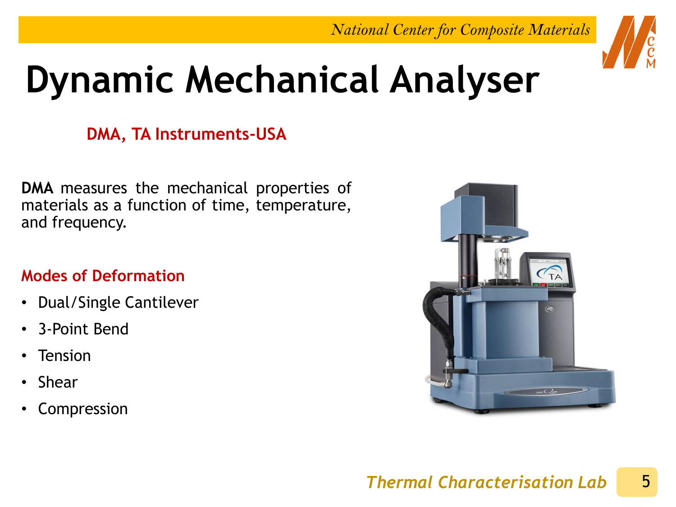

## **Dynamic Mechanical Analyser**

### **DMA, TA Instruments-USA**

**DMA** measures the mechanical properties of materials as a function of time, temperature, and frequency.

#### **Modes of Deformation**

- Dual/Single Cantilever
- 3-Point Bend
- Tension
- Shear
- Compression

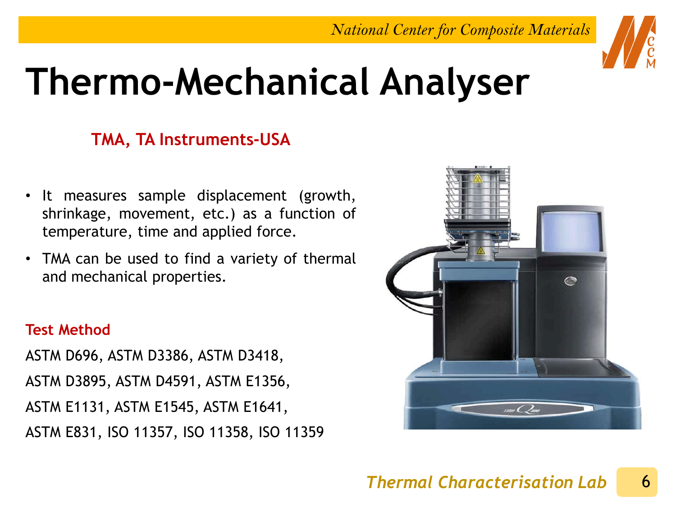

## **Thermo-Mechanical Analyser**

### **TMA, TA Instruments-USA**

- It measures sample displacement (growth, shrinkage, movement, etc.) as a function of temperature, time and applied force.
- TMA can be used to find a variety of thermal and mechanical properties.

#### **Test Method**

ASTM D696, ASTM D3386, ASTM D3418, ASTM D3895, ASTM D4591, ASTM E1356, ASTM E1131, ASTM E1545, ASTM E1641, ASTM E831, ISO 11357, ISO 11358, ISO 11359

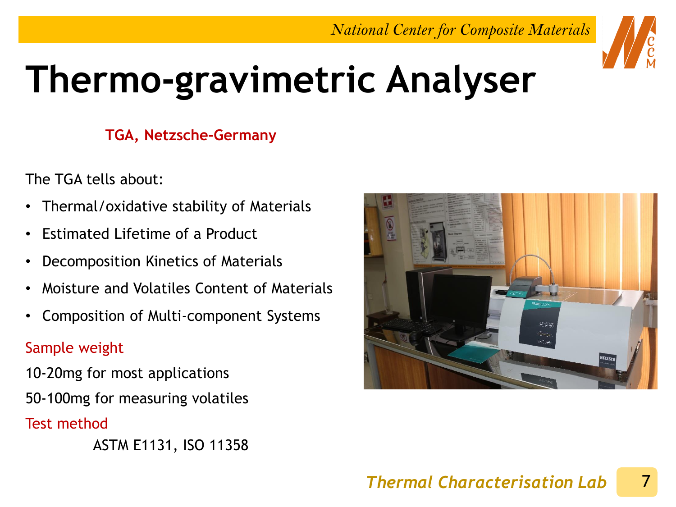

# **Thermo-gravimetric Analyser**

#### **TGA, Netzsche-Germany**

The TGA tells about:

- Thermal/oxidative stability of Materials
- Estimated Lifetime of a Product
- Decomposition Kinetics of Materials
- Moisture and Volatiles Content of Materials
- Composition of Multi-component Systems

#### Sample weight

10-20mg for most applications 50-100mg for measuring volatiles

Test method

ASTM E1131, ISO 11358

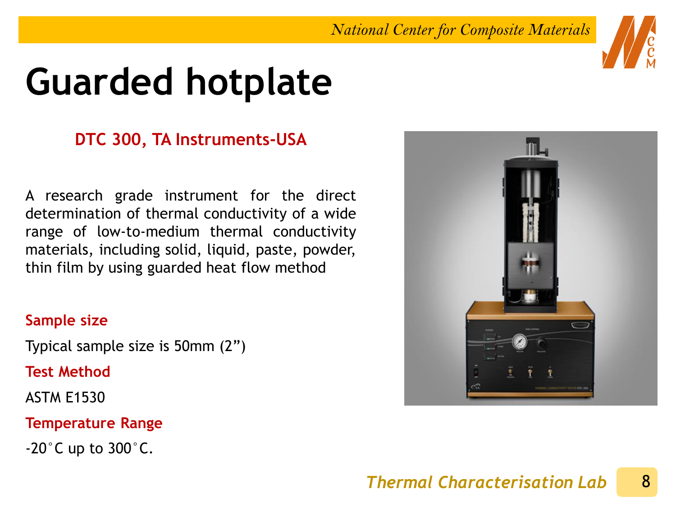## **Guarded hotplate**

#### **DTC 300, TA Instruments-USA**

A research grade instrument for the direct determination of thermal conductivity of a wide range of low-to-medium thermal conductivity materials, including solid, liquid, paste, powder, thin film by using guarded heat flow method

#### **Sample size**

Typical sample size is 50mm (2")

**Test Method**

ASTM E1530

**Temperature Range**

 $-20$ °C up to  $300$ °C.



#### 8 *Thermal Characterisation Lab*